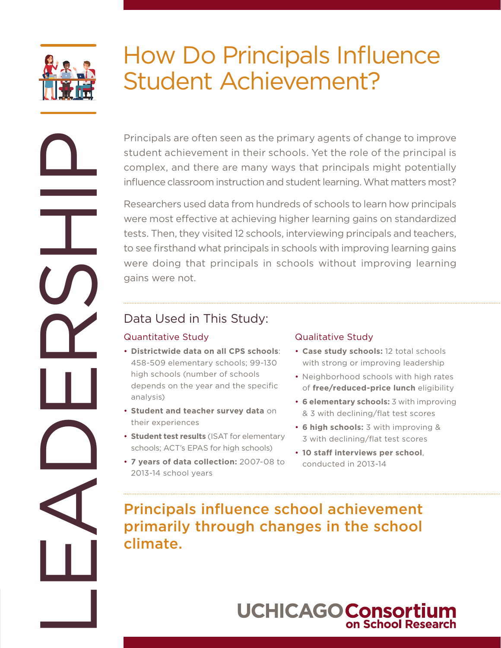

## How Do Principals Influence Student Achievement?

Principals are often seen as the primary agents of change to improve student achievement in their schools. Yet the role of the principal is complex, and there are many ways that principals might potentially influence classroom instruction and student learning. What matters most?

Researchers used data from hundreds of schools to learn how principals were most effective at achieving higher learning gains on standardized tests. Then, they visited 12 schools, interviewing principals and teachers, to see firsthand what principals in schools with improving learning gains were doing that principals in schools without improving learning gains were not. Principals are of the semi-fit and the principal streamed to interest and the school achievement of the school achievement of the school achievement of the school achievement of the school achievement of the school achieve

## Data Used in This Study:

### Quantitative Study

- **Districtwide data on all CPS schools**: 458-509 elementary schools; 99-130 high schools (number of schools depends on the year and the specific analysis)
- **Student and teacher survey data** on their experiences
- **Student test results** (ISAT for elementary schools; ACT's EPAS for high schools)
- **7 years of data collection:** 2007-08 to 2013-14 school years

### Qualitative Study

- **Case study schools:** 12 total schools with strong or improving leadership
- Neighborhood schools with high rates of **free/reduced-price lunch** eligibility
- **6 elementary schools:** 3 with improving & 3 with declining/flat test scores
- **6 high schools:** 3 with improving & 3 with declining/flat test scores
- **10 staff interviews per school**, conducted in 2013-14

primarily through changes in the school climate.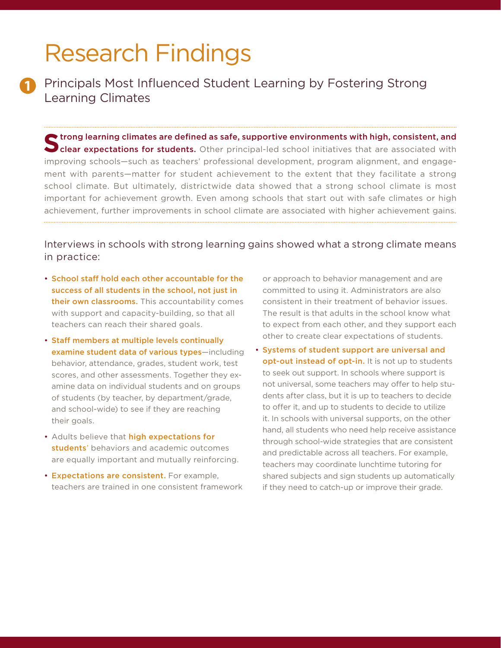## Research Findings

**1**

Principals Most Influenced Student Learning by Fostering Strong Learning Climates

Strong learning climates are defined as safe, supportive environments with high, consistent, and<br>
Sclear expectations for students. Other principal-led school initiatives that are associated with improving schools—such as teachers' professional development, program alignment, and engagement with parents—matter for student achievement to the extent that they facilitate a strong school climate. But ultimately, districtwide data showed that a strong school climate is most important for achievement growth. Even among schools that start out with safe climates or high achievement, further improvements in school climate are associated with higher achievement gains.

### Interviews in schools with strong learning gains showed what a strong climate means in practice:

- School staff hold each other accountable for the success of all students in the school, not just in their own classrooms. This accountability comes with support and capacity-building, so that all teachers can reach their shared goals.
- Staff members at multiple levels continually examine student data of various types-including behavior, attendance, grades, student work, test scores, and other assessments. Together they examine data on individual students and on groups of students (by teacher, by department/grade, and school-wide) to see if they are reaching their goals.
- Adults believe that high expectations for students' behaviors and academic outcomes are equally important and mutually reinforcing.
- Expectations are consistent. For example, teachers are trained in one consistent framework

or approach to behavior management and are committed to using it. Administrators are also consistent in their treatment of behavior issues. The result is that adults in the school know what to expect from each other, and they support each other to create clear expectations of students.

• Systems of student support are universal and opt-out instead of opt-in. It is not up to students to seek out support. In schools where support is not universal, some teachers may offer to help students after class, but it is up to teachers to decide to offer it, and up to students to decide to utilize it. In schools with universal supports, on the other hand, all students who need help receive assistance through school-wide strategies that are consistent and predictable across all teachers. For example, teachers may coordinate lunchtime tutoring for shared subjects and sign students up automatically if they need to catch-up or improve their grade.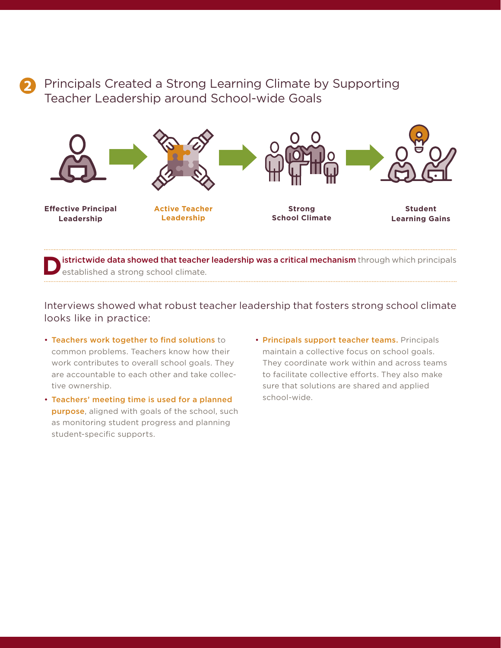## **2**

## Principals Created a Strong Learning Climate by Supporting Teacher Leadership around School-wide Goals



istrictwide data showed that teacher leadership was a critical mechanism through which principals established a strong school climate.

Interviews showed what robust teacher leadership that fosters strong school climate looks like in practice:

- Teachers work together to find solutions to common problems. Teachers know how their work contributes to overall school goals. They are accountable to each other and take collective ownership.
- Teachers' meeting time is used for a planned purpose, aligned with goals of the school, such as monitoring student progress and planning student-specific supports.
- Principals support teacher teams. Principals maintain a collective focus on school goals. They coordinate work within and across teams to facilitate collective efforts. They also make sure that solutions are shared and applied school-wide.